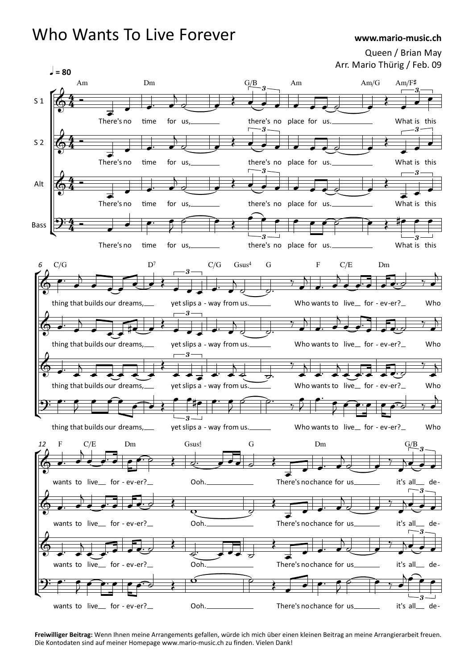## Who Wants To Live Forever

## www.mario-music.ch

Queen / Brian May Arr. Mario Thürig / Feb. 09



Freiwilliger Beitrag: Wenn Ihnen meine Arrangements gefallen, würde ich mich über einen kleinen Beitrag an meine Arrangierarbeit freuen. Die Kontodaten sind auf meiner Homepage www.mario-music.ch zu finden. Vielen Dank!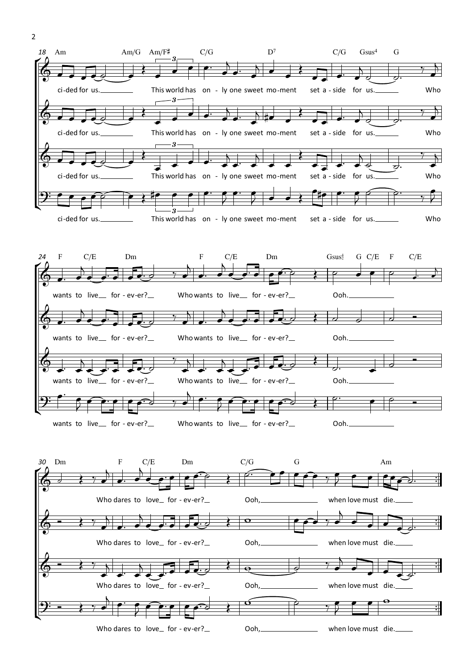



Who dares to love for - ev-er? Ooh, when love must die.

™ ™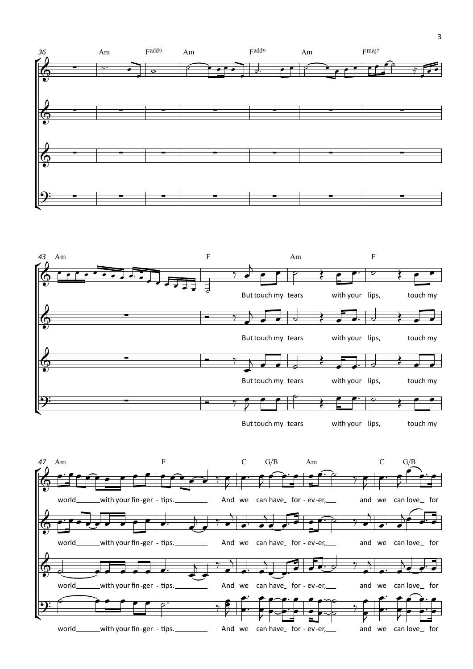